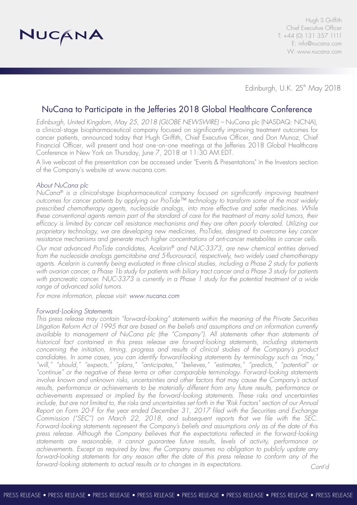

Hugh S Griffith Chief Executive Officer T: +44 (0) 131 357 1111 E: info@nucana.com W: www.nucana.com

Edinburgh, U.K.  $25<sup>th</sup>$  May 2018

# NuCana to Participate in the Jefferies 2018 Global Healthcare Conference

*Edinburgh, United Kingdom, May 25, 2018 (GLOBE NEWSWIRE) –* NuCana plc (NASDAQ: NCNA), a clinical -stage biopharmaceutical company focused on significantly improving treatment outcomes for cancer patients, announced today that Hugh Griffith, Chief Executive Officer, and Don Munoz, Chief Financial Officer, will present and host one-on-one meetings at the Jefferies 2018 Global Healthcare Conference in New York on Thursday, June 7, 2018 at 11:30 AM EDT.

A live webcast of the presentation can be accessed under "Events & Presentations" in the Investors section of the Company's website at www.nucana.com.

## *About NuCana plc*

*NuCana® is a clinical-stage biopharmaceutical company focused on significantly improving treatment outcomes for cancer patients by applying our ProTide™ technology to transform some of the most widely prescribed chemotherapy agents, nucleoside analogs, into more effective and safer medicines. While*  these conventional agents remain part of the standard of care for the treatment of many solid tumors, their *efficacy is limited by cancer cell resistance mechanisms and they are often poorly tolerated. Utilizing our proprietary technology, we are developing new medicines, ProTides, designed to overcome key cancer resistance mechanisms and generate much higher concentrations of anti-cancer metabolites in cancer cells.*

*Our most advanced ProTide candidates, Acelarin® and NUC-3373, are new chemical entities derived from the nucleoside analogs gemcitabine and 5-fluorouracil, respectively, two widely used chemotherapy agents. Acelarin is currently being evaluated in three clinical studies, including a Phase 2 study for patients with ovarian cancer, a Phase 1b study for patients with biliary tract cancer and a Phase 3 study for patients*  with pancreatic cancer. NUC-3373 is currently in a Phase 1 study for the potential treatment of a wide *range of advanced solid tumors.*

*For more information, please visit: www.nucana.com*

#### *Forward-Looking Statements*

*This press release may contain "forward*‐*looking" statements within the meaning of the Private Securities Litigation Reform Act of 1995 that are based on the beliefs and assumptions and on information currently available to management of NuCana plc (the "Company"). All statements other than statements of historical fact contained in this press release are forward-looking statements, including statements concerning the initiation, timing, progress and results of clinical studies of the Company's product candidates. In some cases, you can identify forward-looking statements by terminology such as "may," "will," "should," "expects," "plans," "anticipates," "believes," "estimates," "predicts," "potential" or "continue" or the negative of these terms or other comparable terminology. Forward-looking statements involve known and unknown risks, uncertainties and other factors that may cause the Company's actual*  results, performance or achievements to be materially different from any future results, performance or *achievements expressed or implied by the forward-looking statements. These risks and uncertainties include, but are not limited to, the risks and uncertainties set forth in the "Risk Factors" section of our Annual Report on Form 20-F for the year ended December 31, 2017 filed with the Securities and Exchange Commission ("SEC") on March 22, 2018, and subsequent reports that we file with the SEC. Forward-looking statements represent the Company's beliefs and assumptions only as of the date of this press release. Although the Company believes that the expectations reflected in the forward-looking statements are reasonable, it cannot guarantee future results, levels of activity, performance or achievements. Except as required by law, the Company assumes no obligation to publicly update any forward*‐*looking statements for any reason after the date of this press release to conform any of the forward-looking statements to actual results or to changes in its expectations. Cont'd*